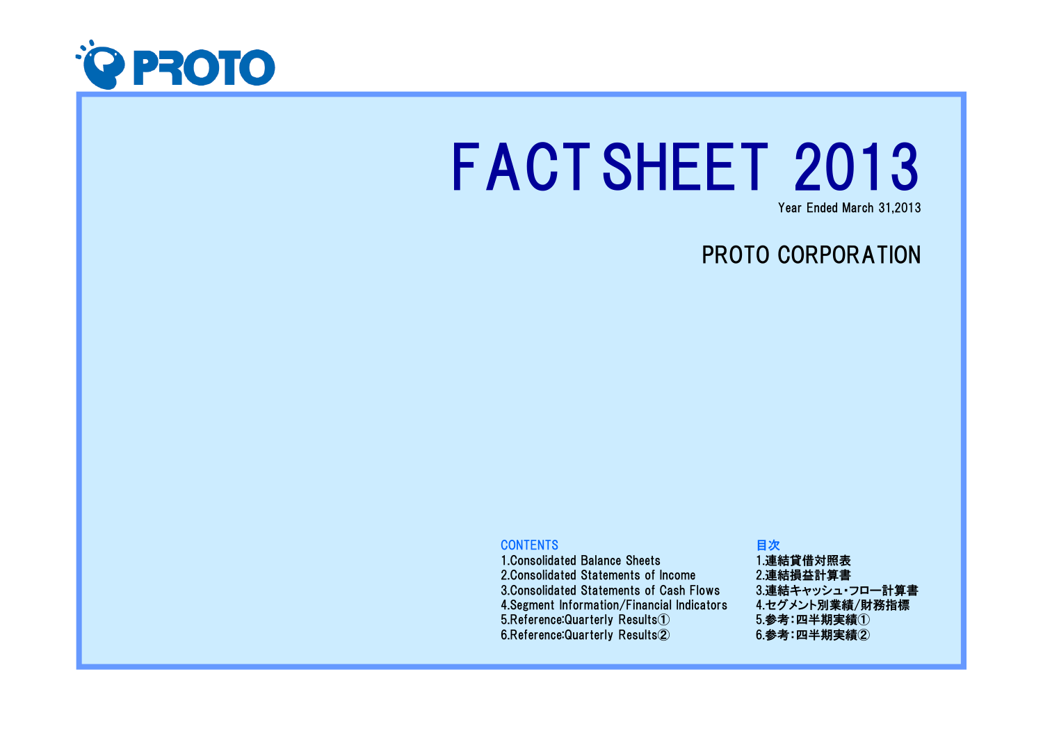

# FACTSHEET 2013

Year Ended March 31,2013

## PROTO CORPORATION

#### **CONTENTS**

 1.Consolidated Balance Sheets 2.Consolidated Statements of Income 3.Consolidated Statements of Cash Flows 4.Segment Information/Financial Indicators5.Reference:Quarterly Results①6.Reference:Quarterly Results②

#### 目次 1.連結貸借対照表 2.連結損益計算書 3.連結キャッシュ・フロー計算書 4.セグメント別業績/財務指標5.参考:四半期実績①6.参考:四半期実績②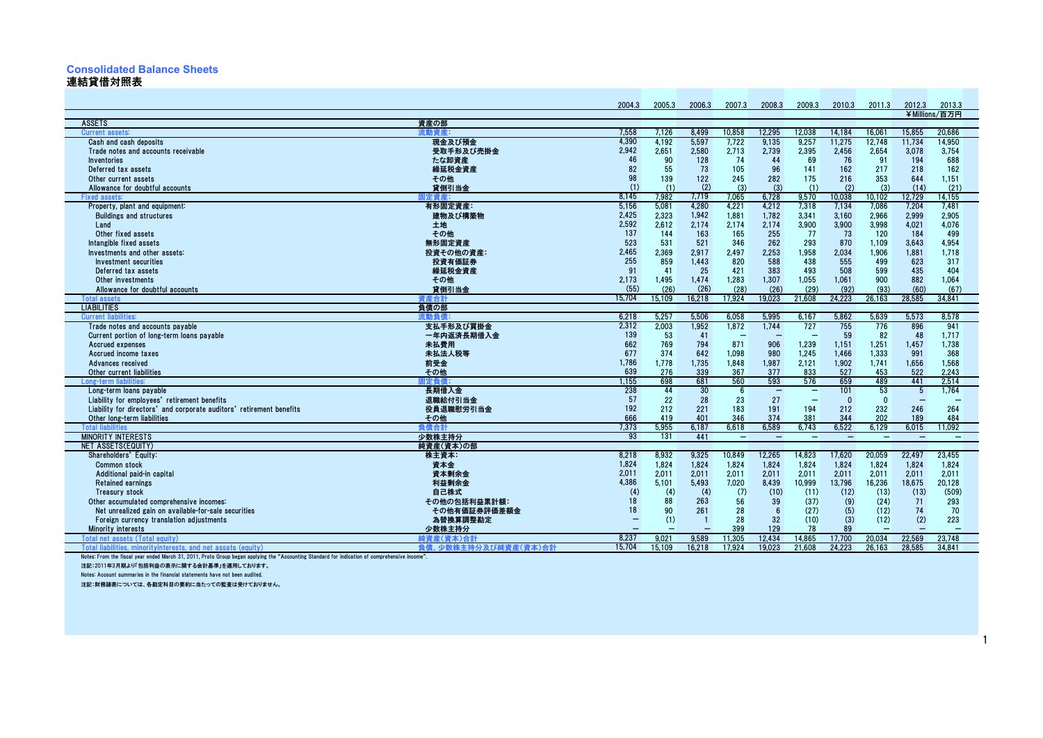### **Consolidated Balance Sheets**

#### 連結貸借対照表As of March 31 / 3月31日現在

|                                                                                                                                                                         |                      | 2004.3   | 2005.3    | 2006.3         | 2007.3                   | 2008.3                   | 2009.3                   | 2010.3                   | 2011.3                   | 2012.3                   | 2013.3                   |
|-------------------------------------------------------------------------------------------------------------------------------------------------------------------------|----------------------|----------|-----------|----------------|--------------------------|--------------------------|--------------------------|--------------------------|--------------------------|--------------------------|--------------------------|
|                                                                                                                                                                         |                      |          |           |                |                          |                          |                          |                          |                          |                          | ¥Millions/百万円            |
| <b>ASSETS</b>                                                                                                                                                           | 資産の部                 |          |           |                |                          |                          |                          |                          |                          |                          |                          |
| Current assets:                                                                                                                                                         |                      | 7,558    | 7.126     | 8.499          | 10.858                   | 12.295                   | 12.038                   | 14.184                   | 16.061                   | 15.855                   | 20.686                   |
| Cash and cash deposits                                                                                                                                                  | 現金及び預金               | 4,390    | 4,192     | 5,597          | 7,722                    | 9,135                    | 9,257                    | 11,275                   | 12,748                   | 11,734                   | 14,950                   |
| Trade notes and accounts receivable                                                                                                                                     | 受取手形及び売掛金            | 2,942    | 2,651     | 2,580          | 2,713                    | 2,739                    | 2,395                    | 2,456                    | 2,654                    | 3,078                    | 3,754                    |
| Inventories                                                                                                                                                             | たな卸資産                | 46       | 90        | 128            | 74                       | 44                       | 69                       | 76                       | 91                       | 194                      | 688                      |
| Deferred tax assets                                                                                                                                                     | 繰延税金資産               | 82       | 55        | 73             | 105                      | 96                       | 141                      | 162                      | 217                      | 218                      | 162                      |
| Other current assets                                                                                                                                                    | その他                  | 98       | 139       | 122            | 245                      | 282                      | 175                      | 216                      | 353                      | 644                      | 1,151                    |
| Allowance for doubtful accounts                                                                                                                                         | 貸倒引当金                | (1)      | (1)       | (2)            | (3)                      | (3)                      | (1)                      | (2)                      | (3)                      | (14)                     | (21)                     |
| <b>Fixed assets:</b>                                                                                                                                                    | 計定資産:                | 8.145    | 7.982     | 7,719          | 7.065                    | 6,728                    | 9,570                    | 10,038                   | 10.102                   | 12.729                   | 14.155                   |
| Property, plant and equipment:                                                                                                                                          | 有形固定資産:              | 5.156    | 5,081     | 4,280          | 4,221                    | 4,212                    | 7,318                    | 7,134                    | 7.086                    | 7,204                    | 7.481                    |
| <b>Buildings and structures</b>                                                                                                                                         | 建物及び構築物              | 2,425    | 2,323     | 1,942          | 1,881                    | 1,782                    | 3,341                    | 3,160                    | 2,966                    | 2,999                    | 2,905                    |
| Land                                                                                                                                                                    | 土地                   | 2,592    | 2.612     | 2,174          | 2,174                    | 2,174                    | 3,900                    | 3,900                    | 3.998                    | 4,021                    | 4.076                    |
| Other fixed assets                                                                                                                                                      | その他                  | 137      | 144       | 163            | 165                      | 255                      | 77                       | 73                       | 120                      | 184                      | 499                      |
| Intangible fixed assets                                                                                                                                                 | 無形固定資産               | 523      | 531       | 521            | 346                      | 262                      | 293                      | 870                      | 1,109                    | 3.643                    | 4,954                    |
| Investments and other assets:                                                                                                                                           | 投資その他の資産:            | 2,465    | 2,369     | 2,917          | 2,497                    | 2,253                    | 1,958                    | 2,034                    | 1,906                    | 1,881                    | 1,718                    |
| Investment securities                                                                                                                                                   | 投資有価証券               | 255      | 859       | 1,443          | 820                      | 588                      | 438                      | 555                      | 499                      | 623                      | 317                      |
| Deferred tax assets                                                                                                                                                     | 繰延税金資産               | 91       | 41        | 25             | 421                      | 383                      | 493                      | 508                      | 599                      | 435                      | 404                      |
| Other investments                                                                                                                                                       | その他                  | 2,173    | 1,495     | 1,474          | 1,283                    | 1,307                    | 1,055                    | 1,061                    | 900                      | 882                      | 1,064                    |
| Allowance for doubtful accounts                                                                                                                                         | 貸倒引当金                | (55)     | (26)      | (26)           | (28)                     | (26)                     | (29)                     | (92)                     | (93)                     | (60)                     | (67)                     |
| <b>Total assets</b>                                                                                                                                                     | 資産合計                 | 15.704   | 15.109    | 16,218         | 17.924                   | 19.023                   | 21.608                   | 24.223                   | 26.163                   | 28.585                   | 34.841                   |
| <b>LIABILITIES</b>                                                                                                                                                      | 負債の部                 |          |           |                |                          |                          |                          |                          |                          |                          |                          |
| <b>Current liabilities:</b>                                                                                                                                             | 流動自信                 | 6,218    | 5.257     | 5.506          | 6.058                    | 5.995                    | 6.167                    | 5,862                    | 5.639                    | 5.573                    | 8.578                    |
| Trade notes and accounts payable                                                                                                                                        | 支払手形及び買掛金            | 2,312    | 2,003     | 1,952          | 1,872                    | 1,744                    | 727                      | 755                      | 776                      | 896                      | 941                      |
| Current portion of long-term loans payable                                                                                                                              | 一年内返済長期借入金           | 139      | 53        | 41             |                          |                          |                          | 59                       | 82                       | 48                       | 1,717                    |
| Accrued expenses                                                                                                                                                        | 未払費用                 | 662      | 769       | 794            | 871                      | 906                      | 1,239                    | 1,151                    | 1,251                    | 1,457                    | 1,738                    |
| Accrued income taxes                                                                                                                                                    | 未払法人税等               | 677      | 374       | 642            | 1.098                    | 980                      | 1.245                    | 1.466                    | 1.333                    | 991                      | 368                      |
| Advances received                                                                                                                                                       | 前受金                  | 1,786    | 1,778     | 1,735          | 1,848                    | 1,987                    | 2,121                    | 1,902                    | 1,741                    | 1,656                    | 1,568                    |
| Other current liabilities                                                                                                                                               | その他                  | 639      | 276       | 339            | 367                      | 377                      | 833                      | 527                      | 453                      | 522                      | 2,243                    |
| Long-term liabilities                                                                                                                                                   | 定負債                  | 1,155    | 698       | 681            | 560                      | 593                      | 576                      | 659                      | 489                      | 441                      | 2,514                    |
| Long-term loans payable                                                                                                                                                 | 長期借入金                | 238      | 44        | 30             | 6                        | $\overline{\phantom{m}}$ | $\overline{\phantom{m}}$ | 101                      | 53                       | $\overline{5}$           | 1.764                    |
| Liability for employees' retirement benefits                                                                                                                            | 退職給付引当金              | 57       | 22        | 28             | 23                       | 27                       | $\overline{\phantom{a}}$ | $\mathbf{0}$             | $\mathbf{0}$             |                          |                          |
| Liability for directors' and corporate auditors' retirement benefits                                                                                                    | 役員退職慰労引当金            | 192      | 212       | 221            | 183                      | 191                      | 194                      | 212                      | 232                      | 246                      | 264                      |
| Other long-term liabilities                                                                                                                                             | その他                  | 666      | 419       | 401            | 346                      | 374                      | 381                      | 344                      | 202                      | 189                      | 484                      |
| <b>Total liabilities</b>                                                                                                                                                | 負債合計                 | 7,373    | 5.955     | 6.187          | 6.618                    | 6.589                    | 6.743                    | 6,522                    | 6.129                    | 6.015                    | 11.092                   |
| <b>MINORITY INTERESTS</b>                                                                                                                                               | 少数株主持分               | 93       | 131       | 441            | $\overline{\phantom{m}}$ | $\overline{\phantom{m}}$ | $\overline{\phantom{m}}$ | $\overline{\phantom{0}}$ | $\overline{\phantom{0}}$ | $\overline{\phantom{a}}$ | $\overline{\phantom{0}}$ |
| NET ASSETS(EQUITY)                                                                                                                                                      | 純資産(資本)の部            | 8.218    | 8.932     | 9.325          | 10.849                   |                          |                          | 17.620                   |                          |                          |                          |
| Shareholders' Equity:                                                                                                                                                   | 株主資本:                | 1,824    |           |                |                          | 12,265                   | 14,823                   |                          | 20,059                   | 22,497<br>1,824          | 23,455                   |
| <b>Common stock</b>                                                                                                                                                     | 資本金                  | 2,011    | 1.824     | 1.824          | 1,824                    | 1,824                    | 1,824                    | 1,824                    | 1,824                    |                          | 1,824                    |
| Additional paid-in capital                                                                                                                                              | 資本剰余金                |          | 2,011     | 2,011          | 2,011                    | 2,011                    | 2,011                    | 2,011                    | 2,011                    | 2,011                    | 2,011                    |
| <b>Retained earnings</b>                                                                                                                                                | 利益剰余金                | 4,386    | 5.101     | 5.493          | 7.020                    | 8.439                    | 10.999                   | 13.796                   | 16,236                   | 18.675                   | 20,128                   |
| <b>Treasury stock</b>                                                                                                                                                   | 自己株式                 | (4)      | (4)<br>88 | (4)            | (7)                      | (10)                     | (11)                     | (12)                     | (13)                     | (13)                     | (509)                    |
| Other accumulated comprehensive incomes:                                                                                                                                | その他の包括利益累計額:         | 18<br>18 | 90        | 263            | 56                       | 39                       | (37)                     | (9)                      | (24)                     | 71                       | 293                      |
| Net unrealized gain on available-for-sale securities                                                                                                                    | その他有価証券評価差額金         |          |           | 261            | 28                       | 6                        | (27)                     | (5)                      | (12)                     | 74                       | 70                       |
| Foreign currency translation adjustments                                                                                                                                | 為替換算調整勘定             |          | (1)       | $\overline{1}$ | 28<br>399                | 32                       | (10)                     | (3)<br>89                | (12)                     | (2)                      | 223                      |
| <b>Minority interests</b>                                                                                                                                               | 少数株主持分               |          |           |                | 11.305                   | 129<br>12.434            | 78<br>14.865             | 17.700                   |                          |                          |                          |
| Total net assets (Total equity)                                                                                                                                         | 純資産(資本)合計            | 8.237    | 9.021     | 9,589          |                          |                          |                          | 24.223                   | 20.034                   | 22.569                   | 23.748                   |
| Total liabilities, minoritvinterests, and net assats (equity)<br>lates: From the flood year anded March 21, 2011, Drote Croy<br>the "Accounting Otondord for indication | 負債、少数株主持分及び純資産(資本)合計 | 15.704   | 15.109    | 16.218         | 17.924                   | 19.023                   | 21.608                   |                          | 26.163                   | 28.585                   | 34.841                   |

Notes: From the fiscal year ended March 31, 2011, Proto Group began applying the "Accounting Standard for indication of comprehensive income".

注記:2011年3月期より「包括利益の表示に関する会計基準」を適用しております。

Notes: Account summaries in the financial statements have not been audited.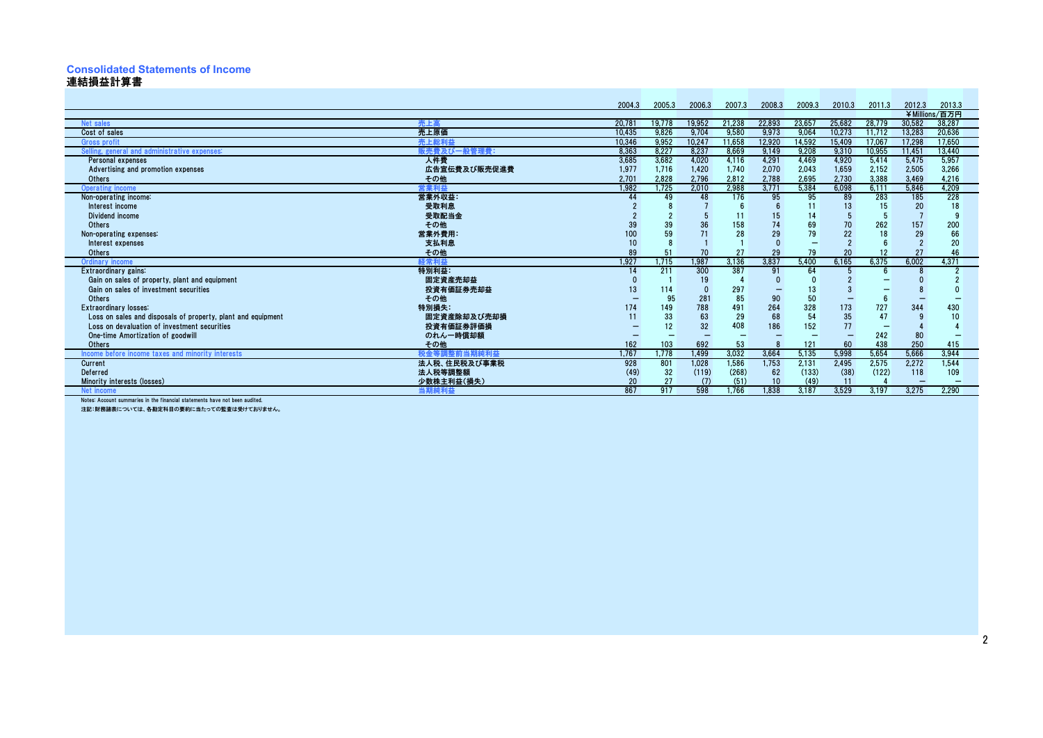#### **Consolidated Statements of Income**連結損益計算書As of March 31 / 3月31日現在

|                                                                            |              | 2004.3 | 2005.3 | 2006.3 | 2007.3 | 2008.3 | 2009.3 | 2010.3 | 2011.3 | 2012.3 | 2013.3        |
|----------------------------------------------------------------------------|--------------|--------|--------|--------|--------|--------|--------|--------|--------|--------|---------------|
|                                                                            |              |        |        |        |        |        |        |        |        |        | ¥Millions/百万円 |
| Net sales                                                                  | 売上高          | 20.781 | 19.778 | 19,952 | 21.238 | 22,893 | 23.657 | 25.682 | 28.779 | 30.582 | 38.287        |
| Cost of sales                                                              | 売上原価         | 10.435 | 9,826  | 9,704  | 9,580  | 9,973  | 9,064  | 10.273 | 11,712 | 13.283 | 20,636        |
| <b>Gross profit</b>                                                        | 売上総利益        | 10,346 | 9,952  | 10,247 | 11,658 | 12,920 | 14,592 | 15,409 | 17,067 | 17,298 | 17,650        |
| Selling, general and administrative expenses:                              | 販売費及び一般管理費:  | 8.363  | 8.227  | 8,237  | 8.669  | 9,149  | 9,208  | 9,310  | 10,955 | 11,451 | 13,440        |
| Personal expenses                                                          | 人件費          | 3,685  | 3.682  | 4,020  | 4,116  | 4,291  | 4,469  | 4,920  | 5,414  | 5,475  | 5,957         |
| Advertising and promotion expenses                                         | 広告宣伝費及び販売促進費 | 1,977  | 1,716  | 1,420  | 1,740  | 2,070  | 2,043  | 1,659  | 2,152  | 2,505  | 3,266         |
| Others                                                                     | その他          | 2.701  | 2,828  | 2,796  | 2,812  | 2,788  | 2,695  | 2,730  | 3,388  | 3,469  | 4,216         |
| <b>Operating income</b>                                                    | 営業利益         | 1,982  | 1,725  | 2,010  | 2,988  | 3,771  | 5,384  | 6,098  | 6.111  | 5,846  | 4,209         |
| Non-operating income:                                                      | 営業外収益:       | 44     | 49     | 48     | 176    | 95     | 95     | 89     | 283    | 185    | 228           |
| Interest income                                                            | 受取利息         |        |        |        |        |        |        | 13     | 15     | 20     | 18            |
| Dividend income                                                            | 受取配当金        |        |        |        |        |        | 14     |        | 5      |        |               |
| Others                                                                     | その他          | 39     |        | 36     | 158    | 74     | 69     | 70     | 262    | 157    | 200           |
| Non-operating expenses:                                                    | 営業外費用:       | 100    | 59     | 71     | 28     | 29     | 79     | 22     | 18     | 29     | 66            |
| Interest expenses                                                          | 支払利息         | 10     |        |        |        |        |        |        |        |        | 20            |
| Others                                                                     | その他          | 89     | 51     | 70     | 27     | 29     | 79     | 20     | 12     | 27     | 46            |
| <b>Ordinary income</b>                                                     | 経常利益         | 1.927  | 1.715  | 1.987  | 3.136  | 3.837  | 5.400  | 6.165  | 6.375  | 6.002  | 4.371         |
| Extraordinary gains:                                                       | 特別利益:        | 14     | 211    | 300    | 387    | 91     | 64     |        |        |        |               |
| Gain on sales of property, plant and equipment                             | 固定資産売却益      |        |        | 19     |        |        |        |        |        |        |               |
| Gain on sales of investment securities                                     | 投資有価証券売却益    | 13     | 114    |        | 297    |        | 13     |        |        |        |               |
| Others                                                                     | その他          |        | 95     | 281    | 85     | 90     | 50     |        | h      |        |               |
| Extraordinary losses:                                                      | 特別損失:        | 174    | 149    | 788    | 491    | 264    | 328    | 173    | 727    | 344    | 430           |
| Loss on sales and disposals of property, plant and equipment               | 固定資産除却及び売却損  |        | 33     | 63     | 29     | 68     | 54     | 35     | 47     |        | 10            |
| Loss on devaluation of investment securities                               | 投資有価証券評価損    |        | 12     | 32     | 408    | 186    | 152    | 77     |        |        |               |
| One-time Amortization of goodwill                                          | のれん一時償却額     |        |        |        |        |        |        |        | 242    | 80     |               |
| Others                                                                     | その他          | 162    | 103    | 692    | 53     |        | 121    | 60     | 438    | 250    | 415           |
| Income before income taxes and minority interests                          | 税金等調整前当期純利益  | 1.767  | .778   | 1.499  | 3,032  | 3,664  | 5.135  | 5,998  | 5.654  | 5.666  | 3,944         |
| Current                                                                    | 法人税、住民税及び事業税 | 928    | 801    | 1,028  | 1,586  | 1,753  | 2,131  | 2,495  | 2,575  | 2,272  | 1,544         |
| Deferred                                                                   | 法人税等調整額      | (49)   | 32     | (119)  | (268)  | 62     | (133)  | (38)   | (122)  | 118    | 109           |
| Minority interests (losses)                                                | 少数株主利益(損失)   | 20     |        | (7)    | (51)   | 10     | (49)   |        |        |        |               |
| Net incom                                                                  | 当期純利益        | 867    | 917    | 598    | 1.766  | 1.838  | 3.187  | 3.529  | 3.197  | 3.275  | 2.290         |
| Notes: Account summaries in the financial statements have not been audited |              |        |        |        |        |        |        |        |        |        |               |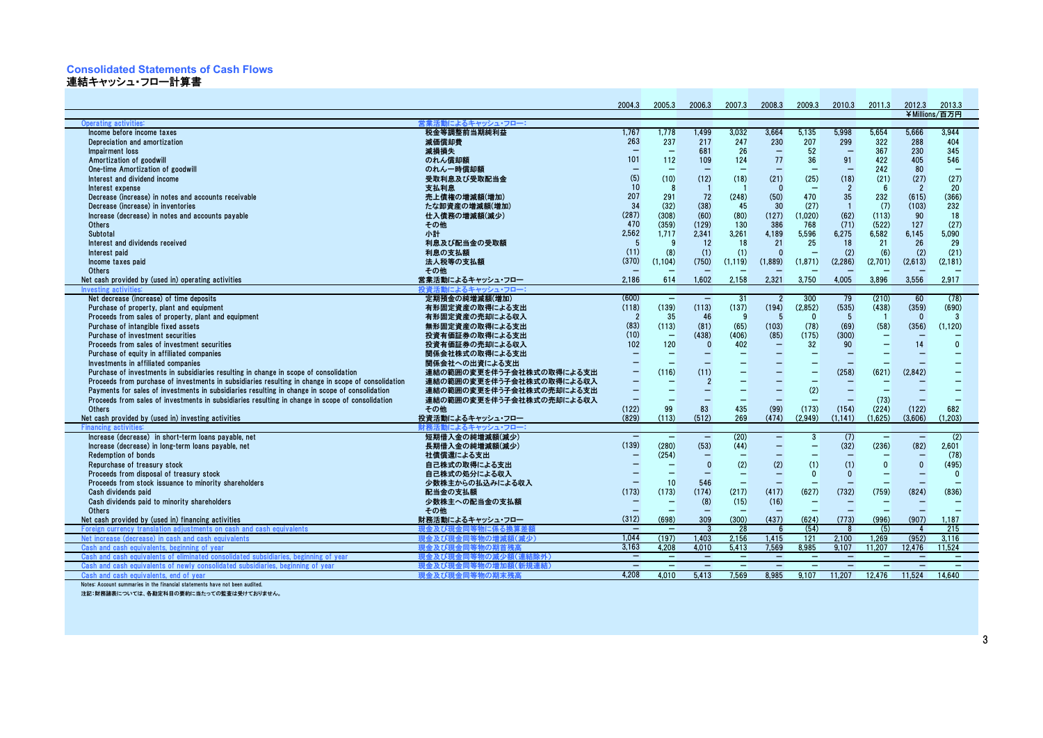#### **Consolidated Statements of Cash Flows**

連結キャッシュ・フロー計算書 As of March 31 / 3月31日現在

|                                                                                                     |                              | 2004.3                   | 2005.3                   | 2006.3                   | 2007.3                   | 2008.3                   | 2009.3                   | 2010.3                   | 2011.3                   | 2012.3                   | 2013.3                   |
|-----------------------------------------------------------------------------------------------------|------------------------------|--------------------------|--------------------------|--------------------------|--------------------------|--------------------------|--------------------------|--------------------------|--------------------------|--------------------------|--------------------------|
|                                                                                                     |                              |                          |                          |                          |                          |                          |                          |                          |                          |                          | ¥Millions/百万円            |
| Operating activities:                                                                               | 営業活動によるキャッシュ・フロー:            |                          |                          |                          |                          |                          |                          |                          |                          |                          |                          |
| Income before income taxes                                                                          | 税金等調整前当期純利益                  | 1,767                    | 1.778                    | 1.499                    | 3.032                    | 3.664                    | 5.135                    | 5.998                    | 5.654                    | 5.666                    | 3.944                    |
| Depreciation and amortization                                                                       | 減価償却費                        | 263                      | 237                      | 217                      | 247                      | 230                      | 207                      | 299                      | 322                      | 288                      | 404                      |
| Impairment loss                                                                                     | 減損損失                         | ۰                        | $\overline{\phantom{0}}$ | 681                      | 26                       | $\overline{\phantom{0}}$ | 52                       | $\overline{\phantom{a}}$ | 367                      | 230                      | 345                      |
| Amortization of goodwill                                                                            | のれん償却額                       | 101                      | 112                      | 109                      | 124                      | 77                       | 36                       | 91                       | 422                      | 405                      | 546                      |
| One-time Amortization of goodwill                                                                   | のれん一時償却額                     |                          |                          | $\equiv$                 |                          | ۰                        |                          | $\equiv$                 | 242                      | 80                       |                          |
| Interest and dividend income                                                                        | 受取利息及び受取配当金                  | (5)                      | (10)                     | (12)                     | (18)                     | (21)                     | (25)                     | (18)                     | (21)                     | (27)                     | (27)                     |
| Interest expense                                                                                    | 支払利息                         | 10                       | -8                       | $\blacksquare$           |                          | $\Omega$                 |                          | $\overline{2}$           | 6                        | $\overline{2}$           | 20                       |
| Decrease (increase) in notes and accounts receivable                                                | 売上債権の増減額(増加)                 | 207                      | 291                      | 72                       | (248)                    | (50)                     | 470                      | 35                       | 232                      | (615)                    | (366)                    |
| Decrease (increase) in inventories                                                                  | たな卸資産の増減額(増加)                | 34                       | (32)                     | (38)                     | 45                       | 30                       | (27)                     | $\overline{1}$           | (7)                      | (103)                    | 232                      |
| Increase (decrease) in notes and accounts payable                                                   | 仕入債務の増減額(減少)                 | (287)                    | (308)                    | (60)                     | (80)                     | (127)                    | (1,020)                  | (62)                     | (113)                    | 90                       | 18                       |
| Others                                                                                              | その他                          | 470                      | (359)                    | (129)                    | 130                      | 386                      | 768                      | (71)                     | (522)                    | 127                      | (27)                     |
| Subtotal                                                                                            | 小計                           | 2,562                    | 1,717                    | 2,341                    | 3,261                    | 4,189                    | 5,596                    | 6,275                    | 6,582                    | 6,145                    | 5,090                    |
| Interest and dividends received                                                                     | 利息及び配当金の受取額                  | 5                        | -9                       | 12                       | 18                       | 21                       | 25                       | 18                       | 21                       | 26                       | 29                       |
| Interest paid                                                                                       | 利息の支払額                       | (11)                     | (8)                      | (1)                      | (1)                      | $\mathbf{0}$             |                          | (2)                      | (6)                      | (2)                      | (21)                     |
| Income taxes paid                                                                                   | 法人税等の支払額                     | (370)                    | (1, 104)                 | (750)                    | (1, 119)                 | (1,889)                  | (1, 871)                 | (2, 286)                 | (2,701)                  | (2,613)                  | (2, 181)                 |
| Others                                                                                              | その他                          |                          |                          |                          |                          |                          |                          |                          |                          |                          |                          |
| Net cash provided by (used in) operating activities                                                 | 営業活動によるキャッシュ・フロー             | 2,186                    | 614                      | 1,602                    | 2,158                    | 2,321                    | 3,750                    | 4,005                    | 3,896                    | 3.556                    | 2.917                    |
| <b>Investing activiti</b>                                                                           | 投資活動によるキャッシュ・フロー:            |                          |                          |                          |                          |                          |                          |                          |                          |                          |                          |
| Net decrease (increase) of time deposits                                                            | 定期預金の純増減額(増加)                | (600)                    | $\overline{\phantom{a}}$ | $\equiv$                 | 31                       | $\overline{2}$           | 300                      | 79                       | (210)                    | 60                       | (78)                     |
| Purchase of property, plant and equipment                                                           | 有形固定資産の取得による支出               | (118)                    | (139)                    | (113)                    | (137)                    | (194)                    | (2.852)                  | (535)                    | (438)                    | (359)                    | (690)                    |
| Proceeds from sales of property, plant and equipment                                                | 有形固定資産の売却による収入               | $\overline{2}$           | 35                       | 46                       | -9                       | 5                        | $\Omega$                 | -5                       |                          | $\Omega$                 | -3                       |
| Purchase of intangible fixed assets                                                                 | 無形固定資産の取得による支出               | (83)                     | (113)                    | (81)                     | (65)                     | (103)                    | (78)                     | (69)                     | (58)                     | (356)                    | (1.120)                  |
| Purchase of investment securities                                                                   | 投資有価証券の取得による支出               | (10)                     | $\overline{\phantom{a}}$ | (438)                    | (406)                    | (85)                     | (175)                    | (300)                    |                          |                          |                          |
| Proceeds from sales of investment securities                                                        | 投資有価証券の売却による収入               | 102                      | 120                      | $\mathbf{0}$             | 402                      | $\qquad \qquad -$        | 32                       | 90                       |                          | 14                       | $\Omega$                 |
| Purchase of equity in affiliated companies                                                          | 関係会社株式の取得による支出               | $\overline{\phantom{a}}$ | $\overline{\phantom{0}}$ | $\overline{\phantom{m}}$ |                          | $\overline{\phantom{m}}$ | ۳                        | $\qquad \qquad -$        |                          |                          |                          |
| Investments in affiliated companies                                                                 | 関係会社への出資による支出                |                          |                          | $\overline{\phantom{0}}$ |                          |                          |                          | $\qquad \qquad$          |                          |                          |                          |
| Purchase of investments in subsidiaries resulting in change in scope of consolidation               | 連結の範囲の変更を伴う子会社株式の取得による支出     | ۰                        | (116)                    | (11)                     |                          |                          | $\overline{\phantom{0}}$ | (258)                    | (621)                    | (2.842)                  |                          |
| Proceeds from purchase of investments in subsidiaries resulting in change in scope of consolidation | 連結の範囲の変更を伴う子会社株式の取得による収入     | $\overline{\phantom{0}}$ |                          | $\overline{2}$           |                          |                          |                          | ۳                        |                          |                          |                          |
| Payments for sales of investments in subsidiaries resulting in change in scope of consolidation     | 連結の範囲の変更を伴う子会社株式の売却による支出     | $\overline{\phantom{0}}$ |                          | $-$                      |                          | $\overline{\phantom{a}}$ | (2)                      | $\equiv$                 |                          |                          |                          |
| Proceeds from sales of investments in subsidiaries resulting in change in scope of consolidation    | 連結の範囲の変更を伴う子会社株式の売却による収入     | $\qquad \qquad -$        | $\overline{\phantom{0}}$ | $\overline{\phantom{0}}$ | $\overline{\phantom{m}}$ | $\overline{\phantom{m}}$ | $\qquad \qquad -$        | $\qquad \qquad -$        | (73)                     | $\overline{\phantom{0}}$ |                          |
| Others                                                                                              | その他                          | (122)                    | 99                       | 83                       | 435                      | (99)                     | (173)                    | (154)                    | (224)                    | (122)                    | 682                      |
| Net cash provided by (used in) investing activities                                                 | 投資活動によるキャッシュ・フロー             | (829)                    | (113)                    | (512)                    | 269                      | (474)                    | (2.949)                  | (1.141)                  | (1.625)                  | (3.606)                  | (1.203)                  |
| <b>Financing activities</b>                                                                         | 財務活動による                      |                          |                          |                          |                          |                          |                          |                          |                          |                          |                          |
| Increase (decrease) in short-term loans payable, net                                                | 短期借入金の純増減額(減少)               | $\overline{\phantom{0}}$ | $\overline{\phantom{0}}$ | $\overline{\phantom{a}}$ | (20)                     | $\overline{\phantom{0}}$ | 3                        | (7)                      | $\overline{\phantom{a}}$ | $\qquad \qquad -$        | (2)                      |
| Increase (decrease) in long-term loans payable, net                                                 | 長期借入金の純増減額(減少)               | (139)                    | (280)                    | (53)                     | (44)                     | $\qquad \qquad -$        | ۰                        | (32)                     | (236)                    | (82)                     | 2.601                    |
| <b>Redemption of bonds</b>                                                                          | 社債償還による支出                    |                          | (254)                    | $\qquad \qquad -$        |                          |                          |                          |                          |                          | $\overline{\phantom{m}}$ | (78)                     |
| Repurchase of treasury stock                                                                        | 自己株式の取得による支出                 |                          | $\overline{\phantom{0}}$ | $\mathbf{0}$             | (2)                      | (2)                      | (1)                      | (1)                      | $\Omega$                 | $\mathbf{0}$             | (495)                    |
| Proceeds from disposal of treasury stock                                                            | 自己株式の処分による収入                 |                          |                          | $\equiv$                 | ۰                        | $\qquad \qquad -$        | $\Omega$                 | $\mathbf{0}$             |                          | $\overline{\phantom{0}}$ | $\mathbf{0}$             |
| Proceeds from stock issuance to minority shareholders                                               | 少数株主からの払込みによる収入              |                          | 10                       | 546                      |                          |                          |                          |                          |                          |                          |                          |
| Cash dividends paid                                                                                 | 配当金の支払額                      | (173)                    | (173)                    | (174)                    | (217)                    | (417)                    | (627)                    | (732)                    | (759)                    | (824)                    | (836)                    |
| Cash dividends paid to minority shareholders                                                        | 少数株主への配当金の支払額                | ۰                        | $\overline{\phantom{0}}$ | (8)                      | (15)                     | (16)                     | $\overline{\phantom{a}}$ | $\qquad \qquad$          |                          |                          |                          |
| <b>Others</b>                                                                                       | その他                          |                          |                          | $\equiv$                 |                          |                          |                          | $\qquad \qquad -$        | $\overline{\phantom{0}}$ |                          |                          |
| Net cash provided by (used in) financing activities                                                 | 財務活動によるキャッシュ・フロー             | (312)                    | (698)                    | 309                      | (300)                    | (437)                    | (624)                    | (773)                    | (996)                    | (907)                    | 1.187                    |
| Foreign currency translation adjustments on cash and cash equivalents                               | 引等物に係る換算:                    | $\overline{\phantom{0}}$ | $\overline{\phantom{a}}$ |                          | -28                      | - 6                      | (54)                     | -8                       | (5)                      | $\overline{4}$           | 215                      |
| Net increase (decrease) in cash and cash equivalents                                                | 現金及び現金<br>#額(減少)<br> 等物の増    | 1,044                    | (197)                    | 1.403                    | 2.156                    | 1.415                    | 121                      | 2,100                    | 1,269                    | (952)                    | 3,116                    |
| Cash and cash equivalents, beginning of year                                                        | 現金及び現金<br>司等物の期首残高           | 3,163                    | 4.208                    | 4.010                    | 5.413                    | 7,569                    | 8.985                    | 9.107                    | 11.207                   | 12.476                   | 11.524                   |
| Cash and cash equivalents of eliminated consolidated subsidiaries, beginning of year                | 現金及び現金<br> 等物の減少額(連;<br>!除外) | $\qquad \qquad -$        | $\sim$                   | $\sim$                   | $\overline{\phantom{a}}$ | $\qquad \qquad -$        | $\overline{\phantom{m}}$ | $\overline{\phantom{a}}$ | $\overline{\phantom{a}}$ | $\overline{\phantom{a}}$ | $\overline{\phantom{a}}$ |
| Cash and cash equivalents of newly consolidated subsidiaries, beginning of year                     | 現金及び現金                       | Ξ                        | $\overline{\phantom{m}}$ | $\qquad \qquad -$        | $\qquad \qquad -$        | $\qquad \qquad -$        | ۰                        | $\qquad \qquad -$        | $\overline{\phantom{0}}$ | $\qquad \qquad =$        |                          |
| Cash and cash equivalents, end of year                                                              | 現金及び現金同等物の期末残る               | 4.208                    | 4.010                    | 5.413                    | 7.569                    | 8.985                    | 9.107                    | 11.207                   | 12.476                   | 11.524                   | 14.640                   |
| the thousand head and and                                                                           |                              |                          |                          |                          |                          |                          |                          |                          |                          |                          |                          |

Notes: Account summaries in the financial statements have not been audited.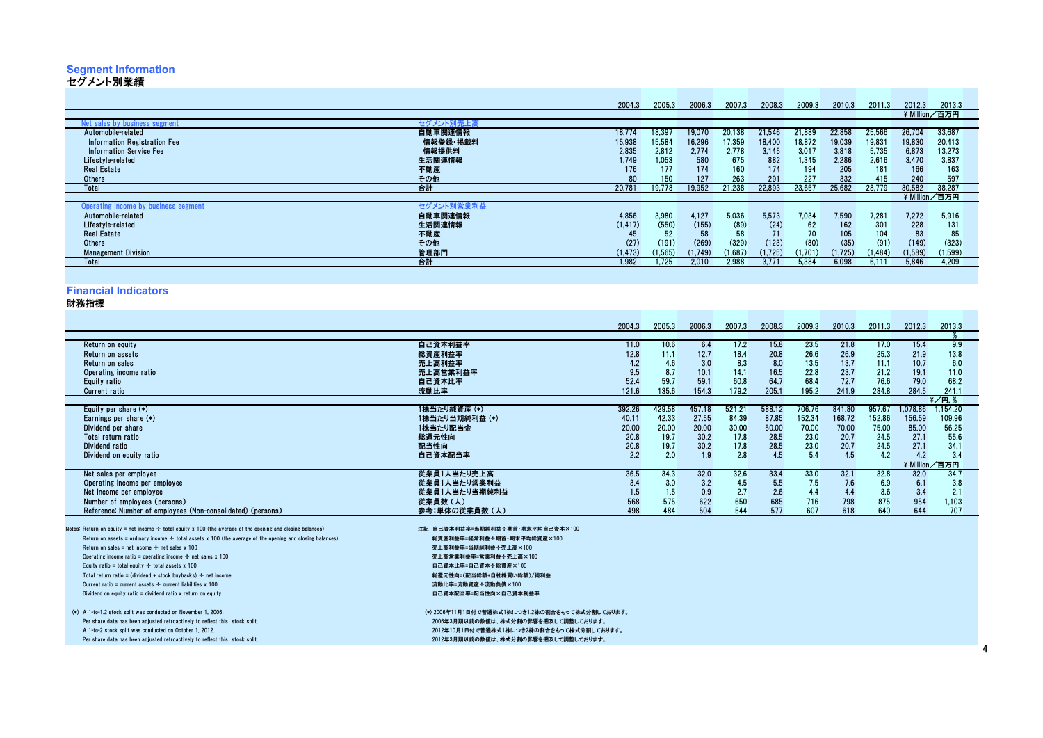## **Segment Information** セグメント別業績

| セグメント別業績                             |            |          |         |         |        |          |         |         |          |         |               |
|--------------------------------------|------------|----------|---------|---------|--------|----------|---------|---------|----------|---------|---------------|
|                                      |            |          |         |         |        |          |         |         |          |         |               |
|                                      |            | 2004.3   | 2005.3  | 2006.3  | 2007.3 | 2008.3   | 2009.3  | 2010.3  | 2011.3   | 2012.3  | 2013.3        |
|                                      |            |          |         |         |        |          |         |         |          |         | ¥ Million/百万円 |
| Net sales by business segment        | セグメント別売上高  |          |         |         |        |          |         |         |          |         |               |
| Automobile-related                   | 自動車関連情報    | 18,774   | 18,397  | 19,070  | 20,138 | 21,546   | 21,889  | 22,858  | 25,566   | 26,704  | 33,687        |
| Information Registration Fee         | 情報登録·掲載料   | 15,938   | 15,584  | 16,296  | 17,359 | 18,400   | 18,872  | 19,039  | 19,831   | 19,830  | 20,413        |
| Information Service Fee              | 情報提供料      | 2,835    | 2,812   | 2,774   | 2,778  | 3,145    | 3,017   | 3,818   | 5,735    | 6,873   | 13,273        |
| Lifestyle-related                    | 生活関連情報     | 1,749    | 1.053   | 580     | 675    | 882      | 1.345   | 2,286   | 2,616    | 3,470   | 3,837         |
| <b>Real Estate</b>                   | 不動産        | 176      | 177     | 174     | 160    | 174      | 194     | 205     | 181      | 166     | 163           |
| <b>Others</b>                        | その他        | 80       | 150     | 127     | 263    | 291      | 227     | 332     | 415      | 240     | 597           |
| Total                                | 合計         | 20,781   | 19.778  | 19,952  | 21,238 | 22,893   | 23,657  | 25,682  | 28,779   | 30,582  | 38,287        |
|                                      |            |          |         |         |        |          |         |         |          |         | ¥ Million/百万円 |
| Operating income by business segment | セグメント別営業利益 |          |         |         |        |          |         |         |          |         |               |
| Automobile-related                   | 自動車関連情報    | 4,856    | 3.980   | 4.127   | 5.036  | 5,573    | 7.034   | 7.590   | 7.281    | 7.272   | 5,916         |
| Lifestyle-related                    | 生活関連情報     | (1, 417) | (550)   | (155)   | (89)   | (24)     | 62      | 162     | 301      | 228     | 131           |
| <b>Real Estate</b>                   | 不動産        | 45       | 52      | 58      | 58     | 71       | 70      | 105     | 104      | 83      | 85            |
| <b>Others</b>                        | その他        | (27)     | (191)   | (269)   | (329)  | (123)    | (80)    | (35)    | (91)     | (149)   | (323)         |
| <b>Management Division</b>           | 管理部門       | (1, 473) | (1,565) | (1,749) | 1,687) | (1, 725) | (1,701) | (1,725) | (1, 484) | (1,589) | (1,599)       |
| Total                                | 合計         | 1,982    | 1.725   | 2,010   | 2,988  | 3,771    | 5,384   | 6,098   | 6,111    | 5,846   | 4,209         |
|                                      |            |          |         |         |        |          |         |         |          |         |               |

#### **Financial Indicators**

財務指標標<br>標

|                                                                                                                  | 2004.3                                          |      | 2005.3 | 2006.3 | 2007.3 | 2008.3 | 2009.3 | 2010.3 | 2011.3 | 2012.3        | 2013.3             |  |
|------------------------------------------------------------------------------------------------------------------|-------------------------------------------------|------|--------|--------|--------|--------|--------|--------|--------|---------------|--------------------|--|
|                                                                                                                  |                                                 |      |        |        |        |        |        |        |        |               |                    |  |
| Return on equity                                                                                                 | 自己資本利益率                                         | 11.0 | 10.6   | 6.4    | 17.2   | 15.8   | 23.5   | 21.8   | 17.0   | 15.4          | 9.9                |  |
| Return on assets                                                                                                 | 総資産利益率                                          | 12.8 | 11.1   | 12.7   | 18.4   | 20.8   | 26.6   | 26.9   | 25.3   | 21.9          | 13.8               |  |
| Return on sales                                                                                                  | 売上高利益率                                          | 4.2  | 4.6    | 3.0    | 8.3    | 8.0    | 13.5   | 13.7   | 11.1   | 10.7          | 6.0                |  |
| Operating income ratio                                                                                           | 売上高営業利益率                                        | 9.5  | 8.7    | 10.1   | 14.1   | 16.5   | 22.8   | 23.7   | 21.2   | 19.1          | 11.0               |  |
| Equity ratio                                                                                                     | 自己資本比率                                          | 52.4 | 59.7   | 59.1   | 60.8   | 64.7   | 68.4   | 72.7   | 76.6   | 79.0          | 68.2               |  |
| <b>Current ratio</b>                                                                                             | 121.6<br>流動比率                                   |      | 135.6  | 154.3  | 179.2  | 205.1  | 195.2  | 241.9  | 284.8  | 284.5         | 241.1              |  |
|                                                                                                                  |                                                 |      |        |        |        |        |        |        |        |               | $\sqrt[2]{7}$ 円. \ |  |
| Equity per share $(*)$                                                                                           | 1株当たり純資産(*)<br>392.26                           |      | 429.58 | 457.18 | 521.21 | 588.12 | 706.76 | 841.80 | 957.67 | 1.078.86      | 1.154.20           |  |
| Earnings per share (*)                                                                                           | 40.11<br>1株当たり当期純利益 (*)                         |      | 42.33  | 27.55  | 84.39  | 87.85  | 152.34 | 168.72 | 152.86 | 156.59        | 109.96             |  |
| Dividend per share                                                                                               | 20.00<br>1株当たり配当金                               |      | 20.00  | 20.00  | 30.00  | 50.00  | 70.00  | 70.00  | 75.00  | 85.00         | 56.25              |  |
| Total return ratio                                                                                               | 総還元性向                                           | 20.8 | 19.7   | 30.2   | 17.8   | 28.5   | 23.0   | 20.7   | 24.5   | 27.1          | 55.6               |  |
| Dividend ratio                                                                                                   | 配当性向                                            | 20.8 | 19.7   | 30.2   | 17.8   | 28.5   | 23.0   | 20.7   | 24.5   | 27.1          | 34.1               |  |
| Dividend on equity ratio                                                                                         | 自己資本配当率                                         | 2.2  | 2.0    | 1.9    | 2.8    | 4.5    | 5.4    | 4.5    | 4.2    | 4.2           | 3.4                |  |
|                                                                                                                  |                                                 |      |        |        |        |        |        |        |        | ¥ Million/百万円 |                    |  |
| Net sales per emplovee                                                                                           | 従業員1人当たり売上高                                     | 36.5 | 34.3   | 32.0   | 32.6   | 33.4   | 33.0   | 32.1   | 32.8   | 32.0          | 34.7               |  |
| Operating income per employee                                                                                    | 従業員1人当たり営業利益                                    | 3.4  | 3.0    | 3.2    | 4.5    | 5.5    | 7.5    | 7.6    | 6.9    | 6.1           | 3.8                |  |
| Net income per employee                                                                                          | 従業員1人当たり当期純利益                                   | 1.5  | 1.5    | 0.9    | 2.7    | 2.6    | 4.4    | 4.4    | 3.6    | 3.4           | 2.1                |  |
| Number of employees (persons)                                                                                    | 従業員数(人)                                         | 568  | 575    | 622    | 650    | 685    | 716    | 798    | 875    | 954           | 1,103              |  |
| Reference: Number of employees (Non-consolidated) (persons)                                                      | 参考:単体の従業員数(人)                                   | 498  | 484    | 504    | 544    | 577    | 607    | 618    | 640    | 644           | 707                |  |
| Notes: Return on equity = net income $\div$ total equity x 100 (the average of the opening and closing balances) | 注記 自己資本利益率=当期純利益÷期首·期末平均自己資本×100                |      |        |        |        |        |        |        |        |               |                    |  |
| Return on assets = ordinary income $\div$ total assets x 100 (the average of the opening and closing balances)   | 総資産利益率=経常利益÷期首·期末平均総資産×100                      |      |        |        |        |        |        |        |        |               |                    |  |
| Return on sales = net income $\div$ net sales x 100                                                              | 売上高利益率=当期純利益÷売上高×100                            |      |        |        |        |        |        |        |        |               |                    |  |
| Operating income ratio = operating income $\div$ net sales x 100                                                 | 売上高営業利益率=営業利益÷売上高×100                           |      |        |        |        |        |        |        |        |               |                    |  |
| Equity ratio = total equity $\div$ total assets x 100                                                            | 自己資本比率=自己資本÷総資産×100                             |      |        |        |        |        |        |        |        |               |                    |  |
| Total return ratio = (dividend + stock buybacks) $\div$ net income                                               | 総還元性向=(配当総額+自社株買い総額)/純利益                        |      |        |        |        |        |        |        |        |               |                    |  |
| Current ratio = current assets $\div$ current liabilities x 100                                                  | 流動比率=流動資産÷流動負債×100                              |      |        |        |        |        |        |        |        |               |                    |  |
| Dividend on equity ratio $=$ dividend ratio x return on equity                                                   | 自己資本配当率=配当性向×自己資本利益率                            |      |        |        |        |        |        |        |        |               |                    |  |
|                                                                                                                  |                                                 |      |        |        |        |        |        |        |        |               |                    |  |
| (*) A 1-to-1.2 stock split was conducted on November 1, 2006.                                                    | (*) 2006年11月1日付で普通株式1株につき1.2株の割合をもって株式分割しております。 |      |        |        |        |        |        |        |        |               |                    |  |
| Per share data has been adjusted retroactively to reflect this stock split.                                      | 2006年3月期以前の数値は、株式分割の影響を遡及して調整しております。            |      |        |        |        |        |        |        |        |               |                    |  |
| A 1-to-2 stock split was conducted on October 1, 2012.                                                           | 2012年10月1日付で普通株式1株につき2株の割合をもって株式分割しております。       |      |        |        |        |        |        |        |        |               |                    |  |
| Per share data has been adjusted retroactively to reflect this stock split.                                      | 2012年3月期以前の数値は、株式分割の影響を遡及して調整しております。            |      |        |        |        |        |        |        |        |               |                    |  |
|                                                                                                                  |                                                 |      |        |        |        |        |        |        |        |               |                    |  |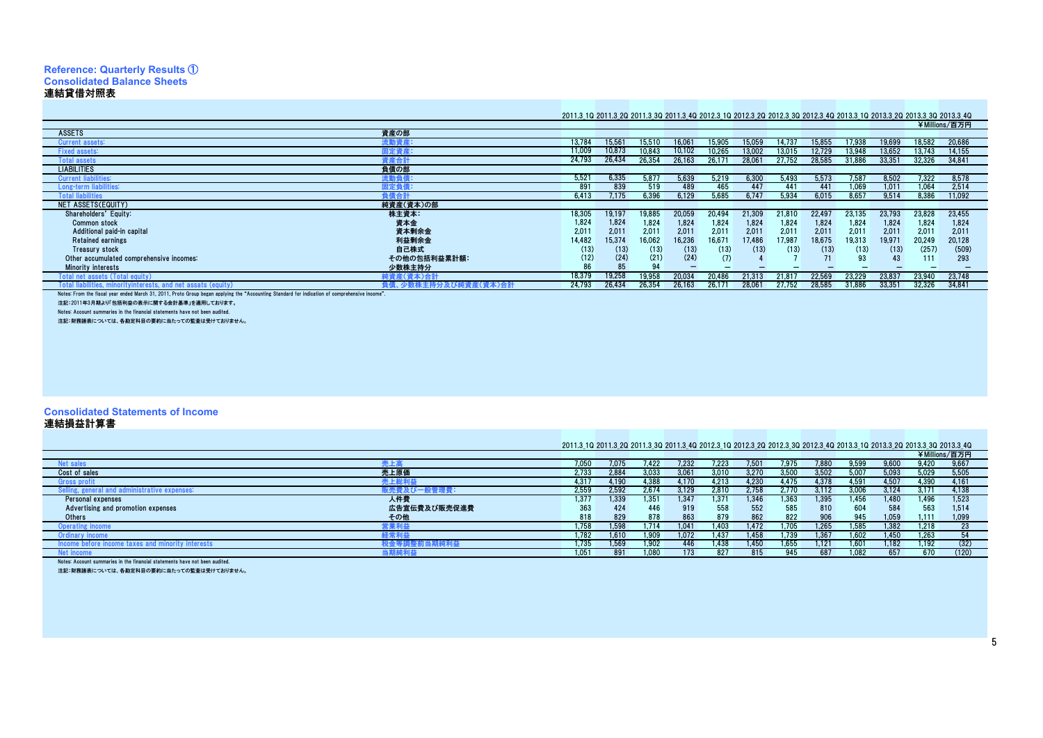#### **Reference: Quarterly Results** ① **Consolidated Balance Sheets**連結貸借対照表As of March 31 / 3月31日現在

#### 2011.3\_1Q 2011.3\_2Q 2011.3\_3Q 2011.3\_4Q 2012.3\_1Q 2012.3\_2Q 2012.3\_3Q 2012.3\_4Q 2013.3\_1Q 2013.3\_2Q 2013.3\_3Q 2013.3\_4Q ¥Millions/百万円

ASSETSS ということ こうしょうかい こうしょう こうしょう こうしょう こうしょう こうしょう うまの <mark>資産の部</mark> **流動資産** Current assets: 流動資産: 13,784 15,561 15,510 16,061 15,905 15,059 14,737 15,855 17,938 19,699 18,582 20,686 Fixed a 固定資産:11,009 10,873 10,743 10,843 10,843 10,102 10,265 13,0002 13,0002 13,004 13,948 13,952 13,743 14,1552 13,434 14<br>14,163,163 14,163 14,163 14,163 14,163 14,174 14,1552 14,1552 14,1552 14,164 14,1552 14,164 14,164 14,164 14, Total assets 資産合計計 24,793 26,434 26,354 26,163 26,171 28,061 27,752 28,585 31,886 33,351 32,326 34,841<br>主 **LIABILITIES**  負債の部 流動負債:**Current liab**  5,521 6,335 5,877 5,639 5,219 6,300 5,493 5,573 7,587 8,502 7,322 8,578 Long-term liabilities: 固定負債: <sup>891</sup> <sup>839</sup> <sup>519</sup> <sup>489</sup> <sup>465</sup> <sup>447</sup> <sup>441</sup> <sup>441</sup> 1,069 1,011 1,064 2,514 Total liabilities 負債合計<u>하 6,413 7,175 6,396 6,129 5,685 6,747 5,934 6,015 8,657 9,514 8,386 11,092</u><br>- <del>28 1</del> 10:00 NET ASSETS(EQUITY) 純資産(資本)の部Shareholders' Equity: 株主資本: 18,305 19,197 19,885 20,059 20,494 21,309 21,810 22,497 23,135 23,793 23,828 23,455 Common stockk のうちゃく しょうしょう しょうしょう しょうしょう しょうしょう いちのう (の) しょうしょう (の) しょうしょう (の) しょうしょう (の) しょうしょう 金 1,824 1,824 1,824 1,824 1,824 1,824 1,824 1,824 1,824 1,824 1,824 1,824<br>■全全 2,011 2,011 2,011 2,011 2,011 2,011 2,011 2,011 2,011 2,011 2,011 Additional paid-in capital資本金<br>資本剰余金<br>利益剰余金 2,011 2,011 2,011 2,011 2,011 2,011 2,011 2,011 2,011 2,011 2,011 2,011 Retained earningss <mark>利益剩余金</mark> 14,482 15,374 16,062 16,236 16,671 17,486 17,987 18,675 19,313 19,971 20,249 20,128 Treasury stockk またい しょうかい しょうしょう しょうしょう しょうしょう しょうしょう しょうしょう 自己株式 (13) (13) (13) (13) (13) (13) (13) (13) (13) (13) (257) (509) Other accumulated comprehensive incomes: その他の包括利益累計額: (12) (24) (21) (24) (7) <sup>4</sup> <sup>7</sup> <sup>71</sup> <sup>93</sup> <sup>43</sup> <sup>111</sup> <sup>293</sup> Minority interests 少数株主持分 <sup>86</sup> <sup>85</sup> <sup>94</sup> - - - - - - - - ntal net accete (To 純資産(資本)合計計 18,379 19,258 19,958 20,034 20,486 21,313 21,817 22,569 23,229 23,837 23,940 23,748<br>全个环式纯资产(资本)全社 24,793 26,434 26,354 26,153 26,171 29,061 27,752 29,585 31, Total liabilities, minorityinterests, and net assats (equity)小数株主持分及び 計 24,793 26,434 26,354 26,163 26,171 28,061 27,752 28,585 31,886 33,351 32,326 34,841

Notes: From the fiscal year ended March 31, 2011, Proto Group began applying the "Accounting Standard for indication of comprehensive income".

注記:2011年3月期より「包括利益の表示に関する会計基準」を適用しております。

Notes: Account summaries in the financial statements have not been audited.

注記:財務諸表については、各勘定科目の要約に当たっての監査は受けておりません。

#### **Consolidated Statements of Income**

#### 連結損益計算書

| 連結損益計算書                                                                             |              |                                                                                                                         |       |       |                |       |       |       |              |       |       |       |               |  |
|-------------------------------------------------------------------------------------|--------------|-------------------------------------------------------------------------------------------------------------------------|-------|-------|----------------|-------|-------|-------|--------------|-------|-------|-------|---------------|--|
|                                                                                     |              |                                                                                                                         |       |       |                |       |       |       |              |       |       |       |               |  |
|                                                                                     |              | 2011.3_10 2011.3_20 2011.3_30 2011.3_40 2012.3_10 2012.3_20 2012.3_30 2012.3_40 2013.3_10 2013.3_20 2013.3_30 2013.3_40 |       |       |                |       |       |       |              |       |       |       |               |  |
|                                                                                     |              |                                                                                                                         |       |       |                |       |       |       |              |       |       |       | ¥Millions/百万円 |  |
| let sales                                                                           |              | 7,050                                                                                                                   | 7.075 | 7.422 | 7.232          | 7,223 | 7.501 | 7.975 | <b>7.880</b> | 9,599 | 9,600 | 9.420 | 9,667         |  |
| Cost of sales                                                                       | 売上原価         | 2,733                                                                                                                   | 2.884 | 3,033 | $3.06^{\circ}$ | 3,010 | 3.270 | 3.500 | 3.502        | 5,007 | 5,093 | 5,029 | 5,505         |  |
| <b>Gross profit</b>                                                                 | 売上総利益        | 4.317                                                                                                                   | 4.190 | 4.388 | 4.170          | 4.213 | 4.230 | 4.475 | 4.378        | 4.591 | 4.507 | 4.390 | 4.161         |  |
| administrative expenses:                                                            |              | 2,559                                                                                                                   | 2.592 | 2.674 | 3.129          | 2.810 | 2.758 | 2.770 | 3.112        | 3.006 | 3.124 | 3.171 | 4.138         |  |
| Personal expenses                                                                   | 人件費          | 1.377                                                                                                                   | 1.339 | 1.351 | 1.347          | 1.371 | 1.346 | 1.363 | 1.395        | 1.456 | 1.480 | 1.496 | 1.523         |  |
| Advertising and promotion expenses                                                  | 広告宣伝費及び販売促進費 | 363                                                                                                                     | 424   | 446   | 919            | 558   | 552   | 585   | 810          | 604   | 584   | 563   | 1.514         |  |
| Others                                                                              | その他          | 818                                                                                                                     | 829   | 878   | 863            | 879   | 862   | 822   | 906          | 945   | 1,059 | 1.111 | 1,099         |  |
| Dperating income                                                                    | 営業利益         | 1.758                                                                                                                   | 1.598 | 1.714 | 1.041          | 1.403 | 1.472 | .705  | 1.265        | 1,585 | 1.382 | 1.218 | 23            |  |
| Jrdinary incom <sup>,</sup>                                                         | 経常利益         | 1.782                                                                                                                   | 1.610 | 1,909 | 1.072          | 1.437 | 1,458 | 739   | 1.367        | 1,602 | 1.450 | 1,263 | 54            |  |
| minority interests<br>acome                                                         |              | 1,735                                                                                                                   | 1,569 | 1,902 | 446            | 1,438 | 1,450 | 1,655 | 1.121        | 1,601 | .182  | 1,192 | (32)          |  |
| i tمV<br>ncom                                                                       |              | 1.051                                                                                                                   | 891   | 1.080 | 173            | 827   | 815   | 945   | 687          | 1.082 | 657   | 670   | (120)         |  |
| Abstract Associate accumulation in the financial atotements have not have accelered |              |                                                                                                                         |       |       |                |       |       |       |              |       |       |       |               |  |

Notes: Account summaries in the financial statements have not been audited.